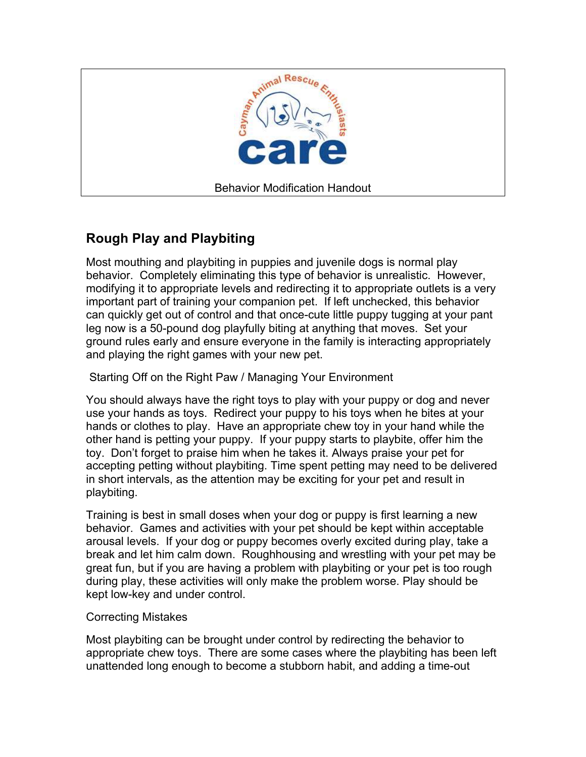

## **Rough Play and Playbiting**

Most mouthing and playbiting in puppies and juvenile dogs is normal play behavior. Completely eliminating this type of behavior is unrealistic. However, modifying it to appropriate levels and redirecting it to appropriate outlets is a very important part of training your companion pet. If left unchecked, this behavior can quickly get out of control and that once-cute little puppy tugging at your pant leg now is a 50-pound dog playfully biting at anything that moves. Set your ground rules early and ensure everyone in the family is interacting appropriately and playing the right games with your new pet.

Starting Off on the Right Paw / Managing Your Environment

You should always have the right toys to play with your puppy or dog and never use your hands as toys. Redirect your puppy to his toys when he bites at your hands or clothes to play. Have an appropriate chew toy in your hand while the other hand is petting your puppy. If your puppy starts to playbite, offer him the toy. Don't forget to praise him when he takes it. Always praise your pet for accepting petting without playbiting. Time spent petting may need to be delivered in short intervals, as the attention may be exciting for your pet and result in playbiting.

Training is best in small doses when your dog or puppy is first learning a new behavior. Games and activities with your pet should be kept within acceptable arousal levels. If your dog or puppy becomes overly excited during play, take a break and let him calm down. Roughhousing and wrestling with your pet may be great fun, but if you are having a problem with playbiting or your pet is too rough during play, these activities will only make the problem worse. Play should be kept low-key and under control.

## Correcting Mistakes

Most playbiting can be brought under control by redirecting the behavior to appropriate chew toys. There are some cases where the playbiting has been left unattended long enough to become a stubborn habit, and adding a time-out